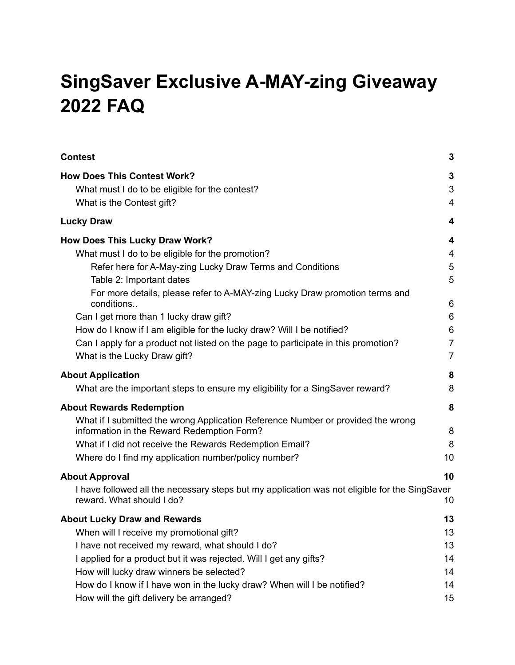# **SingSaver Exclusive A-MAY-zing Giveaway 2022 FAQ**

| <b>Contest</b>                                                                                                                 | 3              |
|--------------------------------------------------------------------------------------------------------------------------------|----------------|
| <b>How Does This Contest Work?</b>                                                                                             | 3              |
| What must I do to be eligible for the contest?                                                                                 | 3              |
| What is the Contest gift?                                                                                                      | 4              |
| <b>Lucky Draw</b>                                                                                                              | 4              |
| <b>How Does This Lucky Draw Work?</b>                                                                                          | 4              |
| What must I do to be eligible for the promotion?                                                                               | $\overline{4}$ |
| Refer here for A-May-zing Lucky Draw Terms and Conditions                                                                      | 5              |
| Table 2: Important dates                                                                                                       | 5              |
| For more details, please refer to A-MAY-zing Lucky Draw promotion terms and                                                    |                |
| conditions                                                                                                                     | 6              |
| Can I get more than 1 lucky draw gift?                                                                                         | 6              |
| How do I know if I am eligible for the lucky draw? Will I be notified?                                                         | 6              |
| Can I apply for a product not listed on the page to participate in this promotion?                                             | $\overline{7}$ |
| What is the Lucky Draw gift?                                                                                                   | $\overline{7}$ |
| <b>About Application</b>                                                                                                       | 8              |
| What are the important steps to ensure my eligibility for a SingSaver reward?                                                  | 8              |
| <b>About Rewards Redemption</b>                                                                                                | 8              |
| What if I submitted the wrong Application Reference Number or provided the wrong<br>information in the Reward Redemption Form? | 8              |
| What if I did not receive the Rewards Redemption Email?                                                                        | 8              |
| Where do I find my application number/policy number?                                                                           | 10             |
| <b>About Approval</b>                                                                                                          | 10             |
| I have followed all the necessary steps but my application was not eligible for the SingSaver<br>reward. What should I do?     | 10             |
| <b>About Lucky Draw and Rewards</b>                                                                                            | 13             |
| When will I receive my promotional gift?                                                                                       | 13             |
| I have not received my reward, what should I do?                                                                               | 13             |
| I applied for a product but it was rejected. Will I get any gifts?                                                             | 14             |
| How will lucky draw winners be selected?                                                                                       | 14             |
| How do I know if I have won in the lucky draw? When will I be notified?                                                        | 14             |
| How will the gift delivery be arranged?                                                                                        | 15             |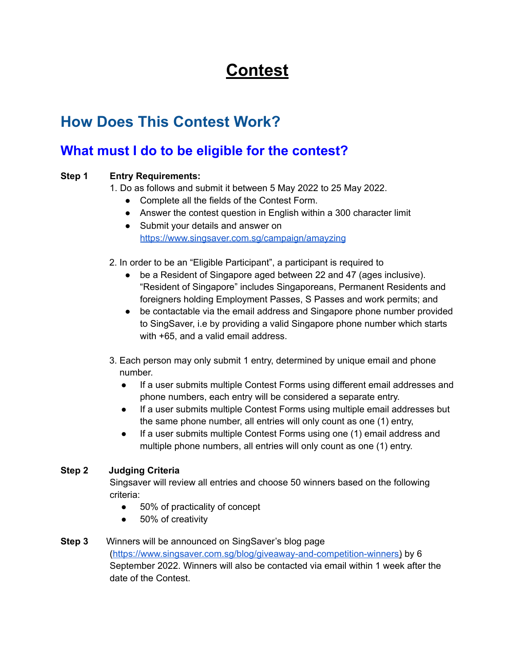## **Contest**

## <span id="page-2-1"></span><span id="page-2-0"></span>**How Does This Contest Work?**

#### <span id="page-2-2"></span>**What must I do to be eligible for the contest?**

#### **Step 1 Entry Requirements:**

1. Do as follows and submit it between 5 May 2022 to 25 May 2022.

- Complete all the fields of the Contest Form.
- Answer the contest question in English within a 300 character limit
- Submit your details and answer on <https://www.singsaver.com.sg/campaign/amayzing>
- 2. In order to be an "Eligible Participant", a participant is required to
	- be a Resident of Singapore aged between 22 and 47 (ages inclusive). "Resident of Singapore" includes Singaporeans, Permanent Residents and foreigners holding Employment Passes, S Passes and work permits; and
	- be contactable via the email address and Singapore phone number provided to SingSaver, i.e by providing a valid Singapore phone number which starts with +65, and a valid email address.
- 3. Each person may only submit 1 entry, determined by unique email and phone number.
	- If a user submits multiple Contest Forms using different email addresses and phone numbers, each entry will be considered a separate entry.
	- If a user submits multiple Contest Forms using multiple email addresses but the same phone number, all entries will only count as one (1) entry,
	- If a user submits multiple Contest Forms using one (1) email address and multiple phone numbers, all entries will only count as one (1) entry.

#### **Step 2 Judging Criteria**

Singsaver will review all entries and choose 50 winners based on the following criteria:

- 50% of practicality of concept
- 50% of creativity
- **Step 3** Winners will be announced on SingSaver's blog page (https://www.singsaver.com.sg/blog/giveaway-and-competition-winners) by 6 September 2022. Winners will also be contacted via email within 1 week after the date of the Contest.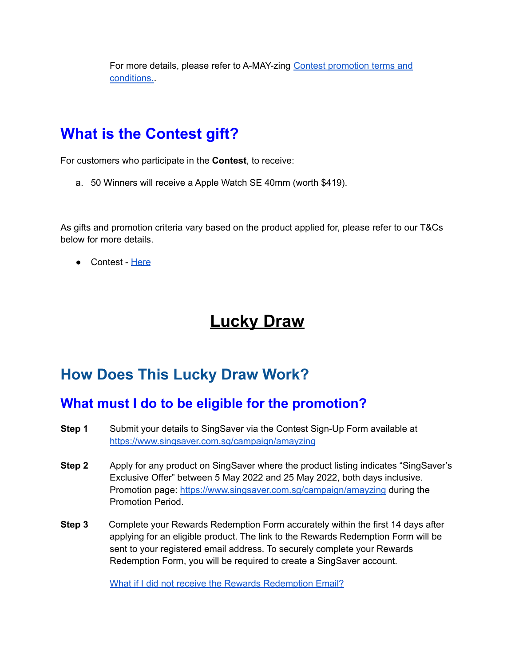For more details, please refer to A-MAY-zing Contest [promotion](https://singsaver.link/amayzing-contest-tncs) terms and [conditions.](https://singsaver.link/amayzing-contest-tncs).

## <span id="page-3-0"></span>**What is the Contest gift?**

For customers who participate in the **Contest**, to receive:

a. 50 Winners will receive a Apple Watch SE 40mm (worth \$419).

As gifts and promotion criteria vary based on the product applied for, please refer to our T&Cs below for more details.

● Contest - [Here](https://singsaver.link/amayzing-contest-tncs)

## **Lucky Draw**

### <span id="page-3-2"></span><span id="page-3-1"></span>**How Does This Lucky Draw Work?**

#### <span id="page-3-3"></span>**What must I do to be eligible for the promotion?**

- **Step 1** Submit your details to SingSaver via the Contest Sign-Up Form available at <https://www.singsaver.com.sg/campaign/amayzing>
- **Step 2** Apply for any product on SingSaver where the product listing indicates "SingSaver's Exclusive Offer" between 5 May 2022 and 25 May 2022, both days inclusive. Promotion page: <https://www.singsaver.com.sg/campaign/amayzing> during the Promotion Period.
- **Step 3** Complete your Rewards Redemption Form accurately within the first 14 days after applying for an eligible product. The link to the Rewards Redemption Form will be sent to your registered email address. To securely complete your Rewards Redemption Form, you will be required to create a SingSaver account.

What if I did not receive the Rewards [Redemption](https://singsaver.zendesk.com/hc/en-us/articles/360042267851-I-did-not-receive-the-rewards-redemption-form-what-should-I-do-) Email?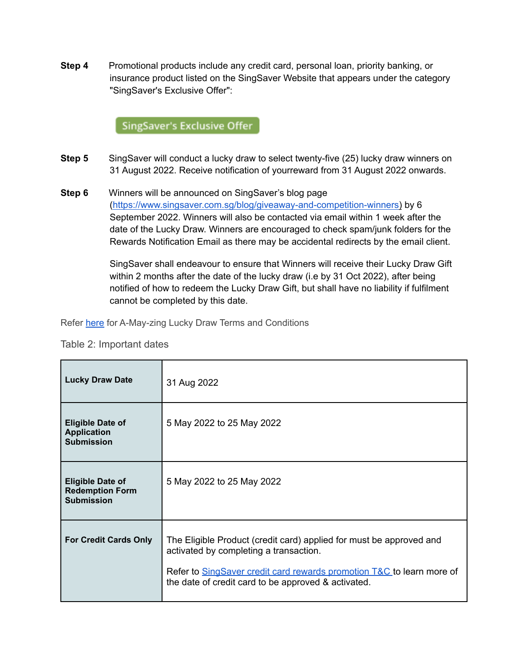**Step 4** Promotional products include any credit card, personal loan, priority banking, or insurance product listed on the SingSaver Website that appears under the category "SingSaver's Exclusive Offer":

#### **SingSaver's Exclusive Offer**

- **Step 5** SingSaver will conduct a lucky draw to select twenty-five (25) lucky draw winners on 31 August 2022. Receive notification of yourreward from 31 August 2022 onwards.
- **Step 6** Winners will be announced on SingSaver's blog page (https://www.singsaver.com.sg/blog/giveaway-and-competition-winners) by 6 September 2022. Winners will also be contacted via email within 1 week after the date of the Lucky Draw. Winners are encouraged to check spam/junk folders for the Rewards Notification Email as there may be accidental redirects by the email client.

SingSaver shall endeavour to ensure that Winners will receive their Lucky Draw Gift within 2 months after the date of the lucky draw (i.e by 31 Oct 2022), after being notified of how to redeem the Lucky Draw Gift, but shall have no liability if fulfilment cannot be completed by this date.

<span id="page-4-0"></span>Refer [here](https://singsaver.link/amayzing-luckydraw-tncs) for A-May-zing Lucky Draw Terms and Conditions

<span id="page-4-1"></span>Table 2: Important dates

| <b>Lucky Draw Date</b>                                                 | 31 Aug 2022                                                                                                                                                                                                                                   |
|------------------------------------------------------------------------|-----------------------------------------------------------------------------------------------------------------------------------------------------------------------------------------------------------------------------------------------|
| <b>Eligible Date of</b><br><b>Application</b><br><b>Submission</b>     | 5 May 2022 to 25 May 2022                                                                                                                                                                                                                     |
| <b>Eligible Date of</b><br><b>Redemption Form</b><br><b>Submission</b> | 5 May 2022 to 25 May 2022                                                                                                                                                                                                                     |
| <b>For Credit Cards Only</b>                                           | The Eligible Product (credit card) applied for must be approved and<br>activated by completing a transaction.<br>Refer to SingSaver credit card rewards promotion T&C to learn more of<br>the date of credit card to be approved & activated. |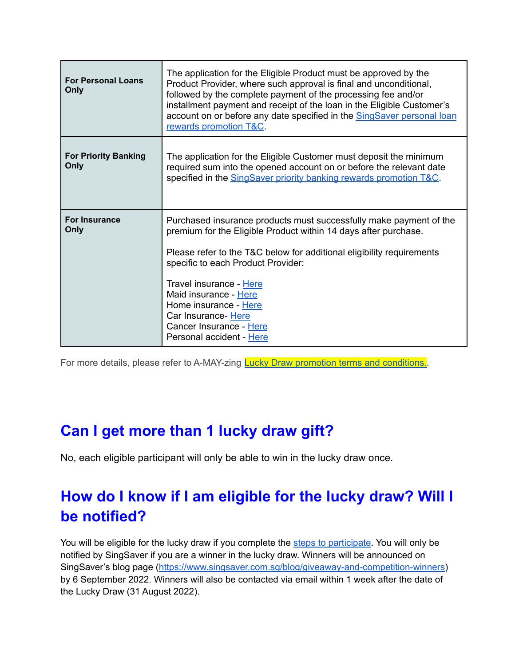| <b>For Personal Loans</b><br>Only   | The application for the Eligible Product must be approved by the<br>Product Provider, where such approval is final and unconditional,<br>followed by the complete payment of the processing fee and/or<br>installment payment and receipt of the loan in the Eligible Customer's<br>account on or before any date specified in the SingSaver personal loan<br>rewards promotion T&C.                            |
|-------------------------------------|-----------------------------------------------------------------------------------------------------------------------------------------------------------------------------------------------------------------------------------------------------------------------------------------------------------------------------------------------------------------------------------------------------------------|
| <b>For Priority Banking</b><br>Only | The application for the Eligible Customer must deposit the minimum<br>required sum into the opened account on or before the relevant date<br>specified in the SingSaver priority banking rewards promotion T&C.                                                                                                                                                                                                 |
| <b>For Insurance</b><br>Only        | Purchased insurance products must successfully make payment of the<br>premium for the Eligible Product within 14 days after purchase.<br>Please refer to the T&C below for additional eligibility requirements<br>specific to each Product Provider:<br>Travel insurance - Here<br>Maid insurance - Here<br>Home insurance - Here<br>Car Insurance- Here<br>Cancer Insurance - Here<br>Personal accident - Here |

<span id="page-5-0"></span>For more details, please refer to A-MAY-zing **Lucky Draw promotion terms and conditions.** 

## <span id="page-5-1"></span>**Can I get more than 1 lucky draw gift?**

No, each eligible participant will only be able to win in the lucky draw once.

## <span id="page-5-2"></span>**How do I know if I am eligible for the lucky draw? Will I be notified?**

You will be eligible for the lucky draw if you complete the steps to [participate](#page-3-3). You will only be notified by SingSaver if you are a winner in the lucky draw. Winners will be announced on SingSaver's blog page (<https://www.singsaver.com.sg/blog/giveaway-and-competition-winners>) by 6 September 2022. Winners will also be contacted via email within 1 week after the date of the Lucky Draw (31 August 2022).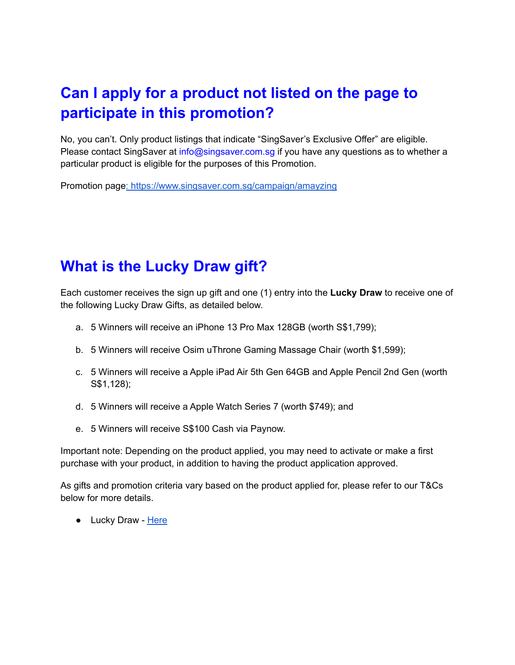## <span id="page-6-0"></span>**Can I apply for a product not listed on the page to participate in this promotion?**

No, you can't. Only product listings that indicate "SingSaver's Exclusive Offer" are eligible. Please contact SingSaver at info@singsaver.com.sg if you have any questions as to whether a particular product is eligible for the purposes of this Promotion.

Promotion page: <https://www.singsaver.com.sg/campaign/amayzing>

## <span id="page-6-1"></span>**What is the Lucky Draw gift?**

Each customer receives the sign up gift and one (1) entry into the **Lucky Draw** to receive one of the following Lucky Draw Gifts, as detailed below.

- a. 5 Winners will receive an iPhone 13 Pro Max 128GB (worth S\$1,799);
- b. 5 Winners will receive Osim uThrone Gaming Massage Chair (worth \$1,599);
- c. 5 Winners will receive a Apple iPad Air 5th Gen 64GB and Apple Pencil 2nd Gen (worth S\$1,128);
- d. 5 Winners will receive a Apple Watch Series 7 (worth \$749); and
- e. 5 Winners will receive S\$100 Cash via Paynow.

Important note: Depending on the product applied, you may need to activate or make a first purchase with your product, in addition to having the product application approved.

As gifts and promotion criteria vary based on the product applied for, please refer to our T&Cs below for more details.

● Lucky Draw - [Here](https://singsaver.link/amayzing-luckydraw-tncs)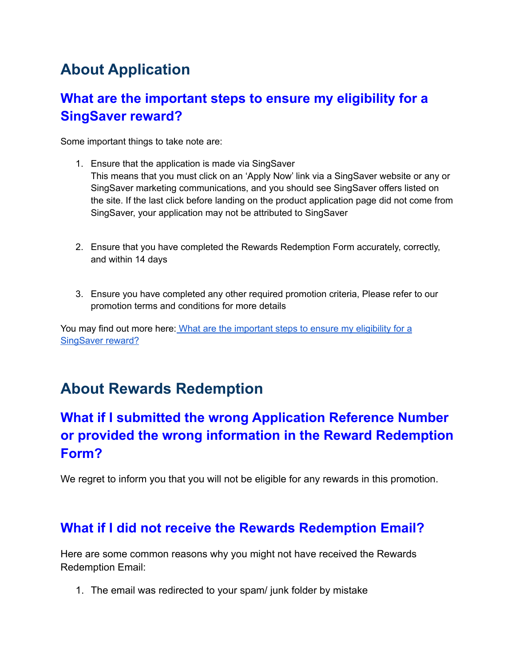## <span id="page-7-0"></span>**About Application**

### <span id="page-7-1"></span>**What are the important steps to ensure my eligibility for a SingSaver reward?**

Some important things to take note are:

- 1. Ensure that the application is made via SingSaver This means that you must click on an 'Apply Now' link via a SingSaver website or any or SingSaver marketing communications, and you should see SingSaver offers listed on the site. If the last click before landing on the product application page did not come from SingSaver, your application may not be attributed to SingSaver
- 2. Ensure that you have completed the Rewards Redemption Form accurately, correctly, and within 14 days
- 3. Ensure you have completed any other required promotion criteria, Please refer to our promotion terms and conditions for more details

You may find out more here: What are the [important](https://singsaver.zendesk.com/hc/en-us/articles/360045180992-What-are-the-important-steps-to-ensure-my-eligibility-for-a-SingSaver-reward-?source=search&auth_token=eyJhbGciOiJIUzI1NiJ9.eyJhY2NvdW50X2lkIjoyMjI1Njg1LCJ1c2VyX2lkIjo5MDM3MjUzMjM2NjMsInRpY2tldF9pZCI6MTg3OTU2LCJjaGFubmVsX2lkIjo2MywidHlwZSI6IlNFQVJDSCIsImV4cCI6MTY1MDE2OTQ0Nn0.LhtO-s7Gno3lIie8KpiGCoscLMiSUFXqAB-D_kqUYi8) steps to ensure my eligibility for a [SingSaver](https://singsaver.zendesk.com/hc/en-us/articles/360045180992-What-are-the-important-steps-to-ensure-my-eligibility-for-a-SingSaver-reward-?source=search&auth_token=eyJhbGciOiJIUzI1NiJ9.eyJhY2NvdW50X2lkIjoyMjI1Njg1LCJ1c2VyX2lkIjo5MDM3MjUzMjM2NjMsInRpY2tldF9pZCI6MTg3OTU2LCJjaGFubmVsX2lkIjo2MywidHlwZSI6IlNFQVJDSCIsImV4cCI6MTY1MDE2OTQ0Nn0.LhtO-s7Gno3lIie8KpiGCoscLMiSUFXqAB-D_kqUYi8) reward?

## <span id="page-7-2"></span>**About Rewards Redemption**

### **What if I submitted the wrong Application Reference Number or provided the wrong information in the Reward Redemption Form?**

<span id="page-7-3"></span>We regret to inform you that you will not be eligible for any rewards in this promotion.

#### <span id="page-7-4"></span>**What if I did not receive the Rewards Redemption Email?**

Here are some common reasons why you might not have received the Rewards Redemption Email:

1. The email was redirected to your spam/ junk folder by mistake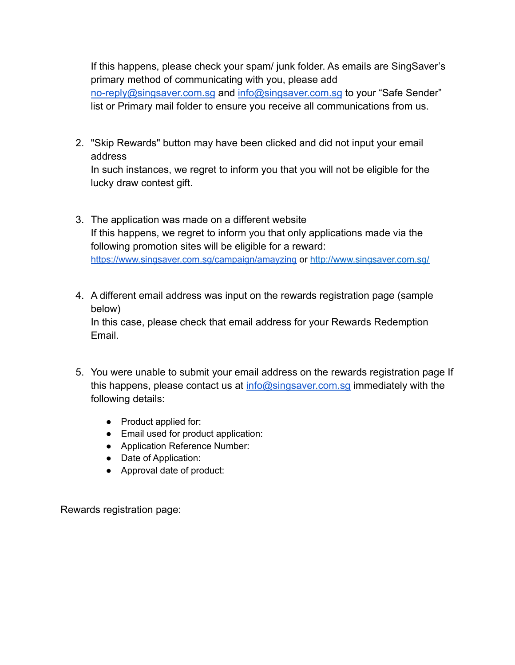If this happens, please check your spam/ junk folder. As emails are SingSaver's primary method of communicating with you, please add no-reply@singsaver.com.sg and info@singsaver.com.sg to your "Safe Sender" list or Primary mail folder to ensure you receive all communications from us.

2. "Skip Rewards" button may have been clicked and did not input your email address

In such instances, we regret to inform you that you will not be eligible for the lucky draw contest gift.

- 3. The application was made on a different website If this happens, we regret to inform you that only applications made via the following promotion sites will be eligible for a reward: <https://www.singsaver.com.sg/campaign/amayzing> or <http://www.singsaver.com.sg/>
- 4. A different email address was input on the rewards registration page (sample below) In this case, please check that email address for your Rewards Redemption Email.
- 5. You were unable to submit your email address on the rewards registration page If this happens, please contact us at  $info@singsaver.com.sq$  immediately with the following details:
	- Product applied for:
	- Email used for product application:
	- Application Reference Number:
	- Date of Application:
	- Approval date of product:

Rewards registration page: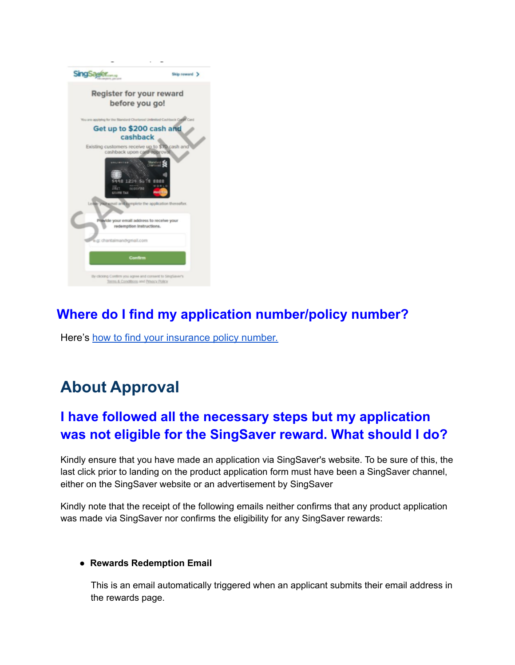

### <span id="page-9-0"></span>**Where do I find my application number/policy number?**

Here's [how to find your insurance policy number.](https://singsaver.zendesk.com/hc/en-us/articles/360022558712-How-to-find-my-Insurance-Policy-Number-?source=search&auth_token=eyJhbGciOiJIUzI1NiJ9.eyJhY2NvdW50X2lkIjoyMjI1Njg1LCJ1c2VyX2lkIjo5MDM3MjUzMjM2NjMsInRpY2tldF9pZCI6MTg3OTU2LCJjaGFubmVsX2lkIjo2MywidHlwZSI6IlNFQVJDSCIsImV4cCI6MTY1MDE2OTQ0Nn0.LhtO-s7Gno3lIie8KpiGCoscLMiSUFXqAB-D_kqUYi8)

## <span id="page-9-1"></span>**About Approval**

### <span id="page-9-2"></span>**I have followed all the necessary steps but my application was not eligible for the SingSaver reward. What should I do?**

Kindly ensure that you have made an application via SingSaver's website. To be sure of this, the last click prior to landing on the product application form must have been a SingSaver channel, either on the SingSaver website or an advertisement by SingSaver

Kindly note that the receipt of the following emails neither confirms that any product application was made via SingSaver nor confirms the eligibility for any SingSaver rewards:

#### ● **Rewards Redemption Email**

This is an email automatically triggered when an applicant submits their email address in the rewards page.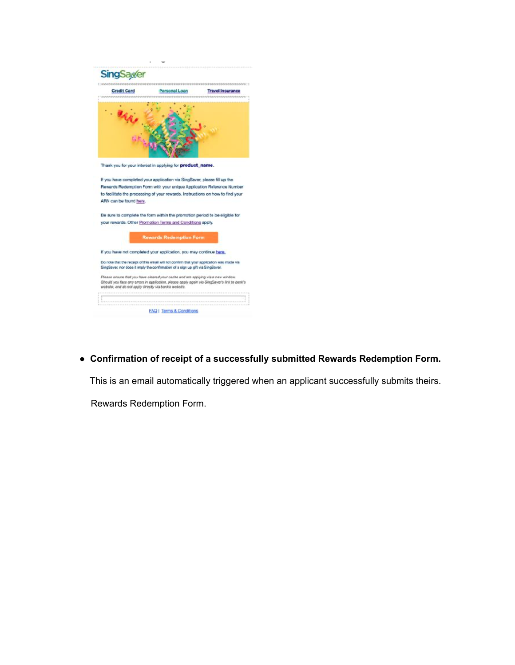

● **Confirmation of receipt of a successfully submitted Rewards Redemption Form.**

This is an email automatically triggered when an applicant successfully submits theirs.

Rewards Redemption Form.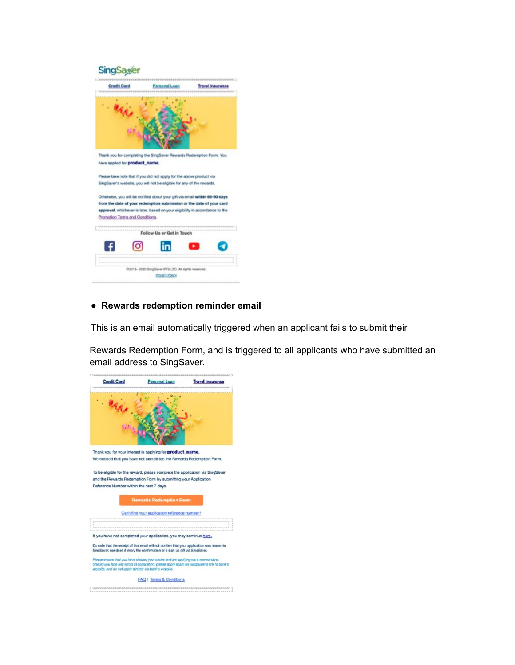

#### ● **Rewards redemption reminder email**

This is an email automatically triggered when an applicant fails to submit their

Rewards Redemption Form, and is triggered to all applicants who have submitted an email address to SingSaver.

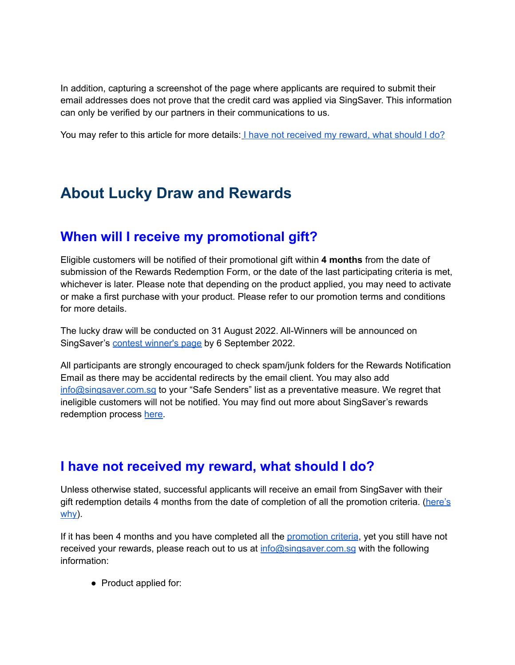In addition, capturing a screenshot of the page where applicants are required to submit their email addresses does not prove that the credit card was applied via SingSaver. This information can only be verified by our partners in their communications to us.

You may refer to this article for more details: I have not [received](https://singsaver.zendesk.com/hc/en-us/articles/360042267631-Where-is-my-gift-I-have-not-received-my-reward-what-should-I-do-?source=search&auth_token=eyJhbGciOiJIUzI1NiJ9.eyJhY2NvdW50X2lkIjoyMjI1Njg1LCJ1c2VyX2lkIjo5MDM3MjUzMjM2NjMsInRpY2tldF9pZCI6MTg3OTU2LCJjaGFubmVsX2lkIjo2MywidHlwZSI6IlNFQVJDSCIsImV4cCI6MTY1MDE2OTQ0Nn0.LhtO-s7Gno3lIie8KpiGCoscLMiSUFXqAB-D_kqUYi8) my reward, what should I do?

## <span id="page-12-0"></span>**About Lucky Draw and Rewards**

#### <span id="page-12-1"></span>**When will I receive my promotional gift?**

Eligible customers will be notified of their promotional gift within **4 months** from the date of submission of the Rewards Redemption Form, or the date of the last participating criteria is met, whichever is later. Please note that depending on the product applied, you may need to activate or make a first purchase with your product. Please refer to our promotion terms and conditions for more details.

The lucky draw will be conducted on 31 August 2022. All-Winners will be announced on SingSaver's contest [winner's](https://www.singsaver.com.sg/blog/giveaway-and-competition-winners) page by 6 September 2022.

All participants are strongly encouraged to check spam/junk folders for the Rewards Notification Email as there may be accidental redirects by the email client. You may also add [info@singsaver.com.sg](mailto:info@singsaver.com.sg) to your "Safe Senders" list as a preventative measure. We regret that ineligible customers will not be notified. You may find out more about SingSaver's rewards redemption process [here.](https://singsaver.zendesk.com/hc/en-us/articles/360044338751)

#### <span id="page-12-2"></span>**I have not received my reward, what should I do?**

Unless otherwise stated, successful applicants will receive an email from SingSaver with their gift redemption details 4 months from the date of completion of all the promotion criteria. [\(here's](https://singsaver.zendesk.com/hc/en-us/articles/360044338751) [why\)](https://singsaver.zendesk.com/hc/en-us/articles/360044338751).

If it has been 4 months and you have completed all the [promotion](#page-3-3) criteria, yet you still have not received your rewards, please reach out to us at info@singsaver.com.sg with the following information:

● Product applied for: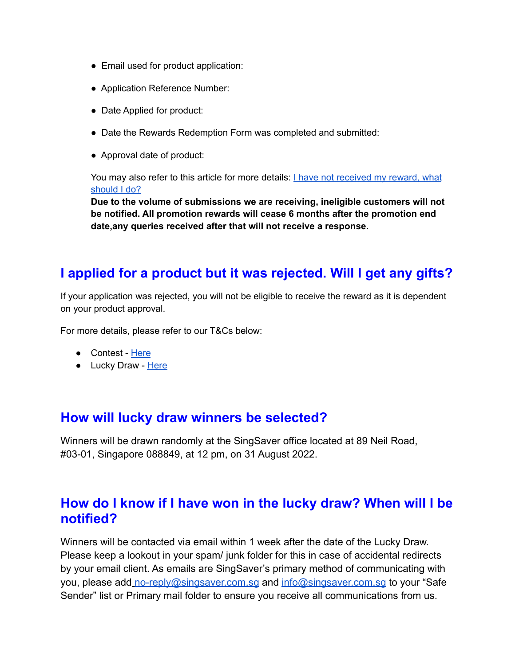- Email used for product application:
- Application Reference Number:
- Date Applied for product:
- Date the Rewards Redemption Form was completed and submitted:
- Approval date of product:

You may also refer to this article for more details: I have not [received](https://singsaver.zendesk.com/hc/en-us/articles/360042267631-Where-is-my-gift-I-have-not-received-my-reward-what-should-I-do-?source=search&auth_token=eyJhbGciOiJIUzI1NiJ9.eyJhY2NvdW50X2lkIjoyMjI1Njg1LCJ1c2VyX2lkIjo5MDM3MjUzMjM2NjMsInRpY2tldF9pZCI6MTg3OTU2LCJjaGFubmVsX2lkIjo2MywidHlwZSI6IlNFQVJDSCIsImV4cCI6MTY1MDE2OTQ0Nn0.LhtO-s7Gno3lIie8KpiGCoscLMiSUFXqAB-D_kqUYi8) my reward, what [should](https://singsaver.zendesk.com/hc/en-us/articles/360042267631-Where-is-my-gift-I-have-not-received-my-reward-what-should-I-do-?source=search&auth_token=eyJhbGciOiJIUzI1NiJ9.eyJhY2NvdW50X2lkIjoyMjI1Njg1LCJ1c2VyX2lkIjo5MDM3MjUzMjM2NjMsInRpY2tldF9pZCI6MTg3OTU2LCJjaGFubmVsX2lkIjo2MywidHlwZSI6IlNFQVJDSCIsImV4cCI6MTY1MDE2OTQ0Nn0.LhtO-s7Gno3lIie8KpiGCoscLMiSUFXqAB-D_kqUYi8) I do?

**Due to the volume of submissions we are receiving, ineligible customers will not be notified. All promotion rewards will cease 6 months after the promotion end date,any queries received after that will not receive a response.**

#### <span id="page-13-0"></span>**I applied for a product but it was rejected. Will I get any gifts?**

If your application was rejected, you will not be eligible to receive the reward as it is dependent on your product approval.

For more details, please refer to our T&Cs below:

- Contest [Here](https://singsaver.link/amayzing-contest-tncs)
- Lucky Draw [Here](https://singsaver.link/amayzing-luckydraw-tncs)

#### <span id="page-13-1"></span>**How will lucky draw winners be selected?**

Winners will be drawn randomly at the SingSaver office located at 89 Neil Road, #03-01, Singapore 088849, at 12 pm, on 31 August 2022.

#### <span id="page-13-2"></span>**How do I know if I have won in the lucky draw? When will I be notified?**

Winners will be contacted via email within 1 week after the date of the Lucky Draw. Please keep a lookout in your spam/ junk folder for this in case of accidental redirects by your email client. As emails are SingSaver's primary method of communicating with you, please add no-reply@singsaver.com.sg and info@singsaver.com.sg to your "Safe Sender" list or Primary mail folder to ensure you receive all communications from us.